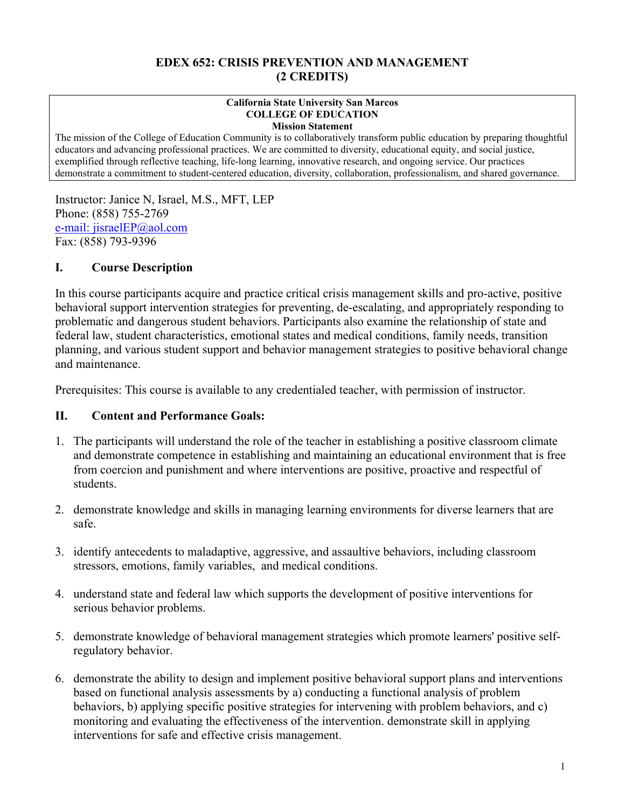#### **EDEX 652: CRISIS PREVENTION AND MANAGEMENT (2 CREDITS)**

#### **California State University San Marcos COLLEGE OF EDUCATION Mission Statement**

The mission of the College of Education Community is to collaboratively transform public education by preparing thoughtful educators and advancing professional practices. We are committed to diversity, educational equity, and social justice, exemplified through reflective teaching, life-long learning, innovative research, and ongoing service. Our practices demonstrate a commitment to student-centered education, diversity, collaboration, professionalism, and shared governance.

Instructor: Janice N, Israel, M.S., MFT, LEP Phone: (858) 755-2769 e-mail: jisraelEP@aol.com Fax: (858) 793-9396

### **I. Course Description**

In this course participants acquire and practice critical crisis management skills and pro-active, positive behavioral support intervention strategies for preventing, de-escalating, and appropriately responding to problematic and dangerous student behaviors. Participants also examine the relationship of state and federal law, student characteristics, emotional states and medical conditions, family needs, transition planning, and various student support and behavior management strategies to positive behavioral change and maintenance.

Prerequisites: This course is available to any credentialed teacher, with permission of instructor.

#### **II. Content and Performance Goals:**

- 1. The participants will understand the role of the teacher in establishing a positive classroom climate and demonstrate competence in establishing and maintaining an educational environment that is free from coercion and punishment and where interventions are positive, proactive and respectful of students.
- 2. demonstrate knowledge and skills in managing learning environments for diverse learners that are safe.
- 3. identify antecedents to maladaptive, aggressive, and assaultive behaviors, including classroom stressors, emotions, family variables, and medical conditions.
- 4. understand state and federal law which supports the development of positive interventions for serious behavior problems.
- 5. demonstrate knowledge of behavioral management strategies which promote learners' positive selfregulatory behavior.
- 6. demonstrate the ability to design and implement positive behavioral support plans and interventions based on functional analysis assessments by a) conducting a functional analysis of problem behaviors, b) applying specific positive strategies for intervening with problem behaviors, and c) monitoring and evaluating the effectiveness of the intervention. demonstrate skill in applying interventions for safe and effective crisis management.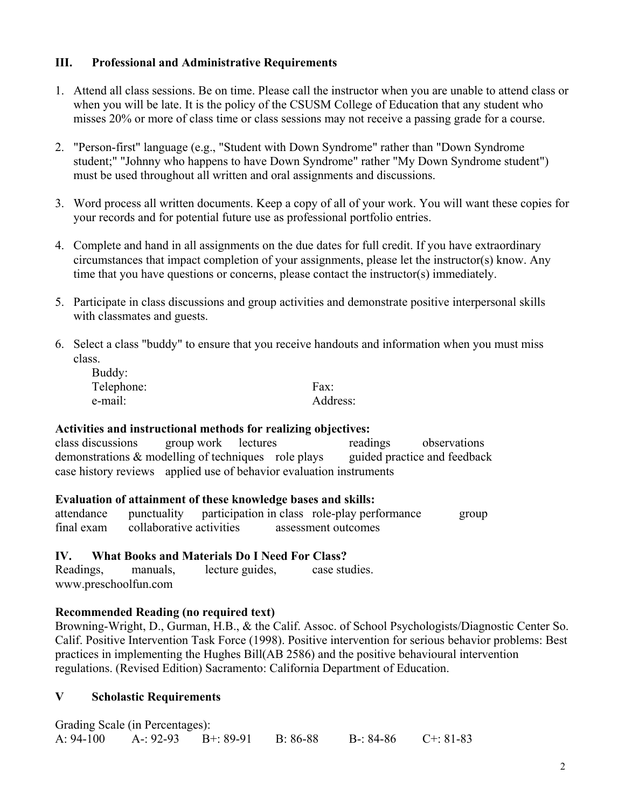#### **III. Professional and Administrative Requirements**

- 1. Attend all class sessions. Be on time. Please call the instructor when you are unable to attend class or when you will be late. It is the policy of the CSUSM College of Education that any student who misses 20% or more of class time or class sessions may not receive a passing grade for a course.
- 2. "Person-first" language (e.g., "Student with Down Syndrome" rather than "Down Syndrome student;" "Johnny who happens to have Down Syndrome" rather "My Down Syndrome student") must be used throughout all written and oral assignments and discussions.
- 3. Word process all written documents. Keep a copy of all of your work. You will want these copies for your records and for potential future use as professional portfolio entries.
- 4. Complete and hand in all assignments on the due dates for full credit. If you have extraordinary circumstances that impact completion of your assignments, please let the instructor(s) know. Any time that you have questions or concerns, please contact the instructor(s) immediately.
- 5. Participate in class discussions and group activities and demonstrate positive interpersonal skills with classmates and guests.
- 6. Select a class "buddy" to ensure that you receive handouts and information when you must miss class.

| Buddy:     |          |
|------------|----------|
| Telephone: | Fax:     |
| e-mail:    | Address: |

#### **Activities and instructional methods for realizing objectives:**

class discussions group work lectures readings observations demonstrations & modelling of techniques role plays guided practice and feedback case history reviews applied use of behavior evaluation instruments

#### **Evaluation of attainment of these knowledge bases and skills:**

| attendance |                          |  | punctuality participation in class role-play performance | group |
|------------|--------------------------|--|----------------------------------------------------------|-------|
| final exam | collaborative activities |  | assessment outcomes                                      |       |

#### **IV. What Books and Materials Do I Need For Class?**

Readings, manuals, lecture guides, case studies. www.preschoolfun.com

#### **Recommended Reading (no required text)**

Browning-Wright, D., Gurman, H.B., & the Calif. Assoc. of School Psychologists/Diagnostic Center So. Calif. Positive Intervention Task Force (1998). Positive intervention for serious behavior problems: Best practices in implementing the Hughes Bill(AB 2586) and the positive behavioural intervention regulations. (Revised Edition) Sacramento: California Department of Education.

#### **V Scholastic Requirements**

|           | Grading Scale (in Percentages): |          |           |                 |
|-----------|---------------------------------|----------|-----------|-----------------|
| A: 94-100 | $A - 92-93$ $B + 89-91$         | B: 86-88 | B-: 84-86 | $C^{+}$ : 81-83 |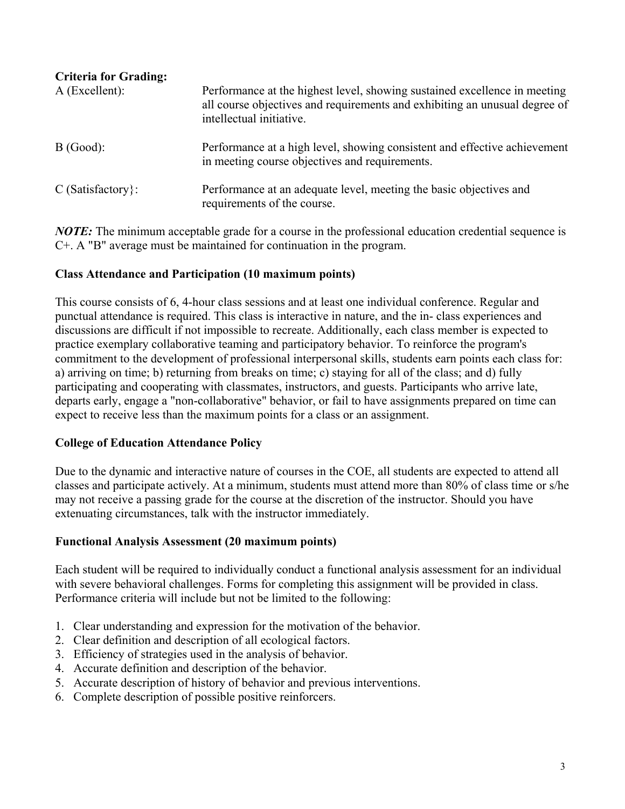| <b>Criteria for Grading:</b><br>$A$ (Excellent): | Performance at the highest level, showing sustained excellence in meeting<br>all course objectives and requirements and exhibiting an unusual degree of<br>intellectual initiative. |
|--------------------------------------------------|-------------------------------------------------------------------------------------------------------------------------------------------------------------------------------------|
| B(Good):                                         | Performance at a high level, showing consistent and effective achievement<br>in meeting course objectives and requirements.                                                         |
| $C$ (Satisfactory):                              | Performance at an adequate level, meeting the basic objectives and<br>requirements of the course.                                                                                   |

*NOTE:* The minimum acceptable grade for a course in the professional education credential sequence is C+. A "B" average must be maintained for continuation in the program.

## **Class Attendance and Participation (10 maximum points)**

This course consists of 6, 4-hour class sessions and at least one individual conference. Regular and punctual attendance is required. This class is interactive in nature, and the in- class experiences and discussions are difficult if not impossible to recreate. Additionally, each class member is expected to practice exemplary collaborative teaming and participatory behavior. To reinforce the program's commitment to the development of professional interpersonal skills, students earn points each class for: a) arriving on time; b) returning from breaks on time; c) staying for all of the class; and d) fully participating and cooperating with classmates, instructors, and guests. Participants who arrive late, departs early, engage a "non-collaborative" behavior, or fail to have assignments prepared on time can expect to receive less than the maximum points for a class or an assignment.

#### **College of Education Attendance Policy**

Due to the dynamic and interactive nature of courses in the COE, all students are expected to attend all classes and participate actively. At a minimum, students must attend more than 80% of class time or s/he may not receive a passing grade for the course at the discretion of the instructor. Should you have extenuating circumstances, talk with the instructor immediately.

#### **Functional Analysis Assessment (20 maximum points)**

Each student will be required to individually conduct a functional analysis assessment for an individual with severe behavioral challenges. Forms for completing this assignment will be provided in class. Performance criteria will include but not be limited to the following:

- 1. Clear understanding and expression for the motivation of the behavior.
- 2. Clear definition and description of all ecological factors.
- 3. Efficiency of strategies used in the analysis of behavior.
- 4. Accurate definition and description of the behavior.
- 5. Accurate description of history of behavior and previous interventions.
- 6. Complete description of possible positive reinforcers.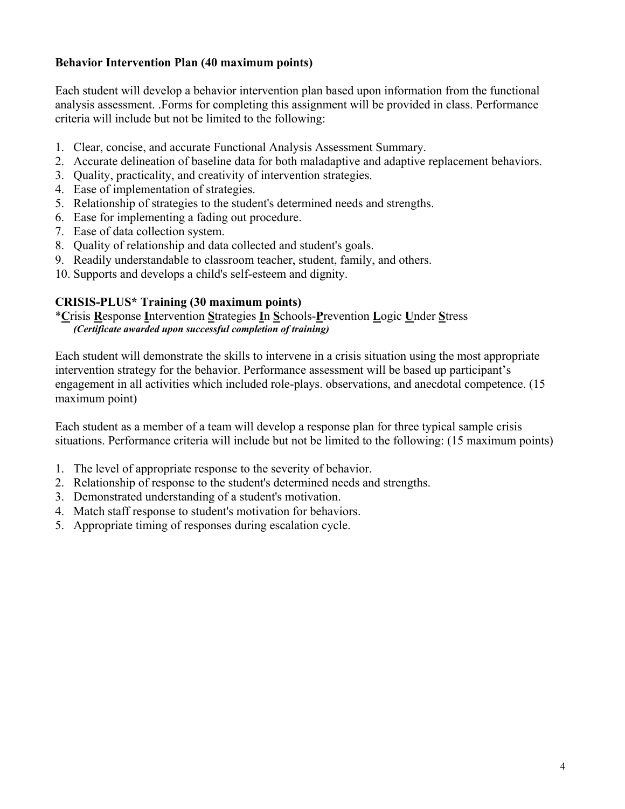### **Behavior Intervention Plan (40 maximum points)**

Each student will develop a behavior intervention plan based upon information from the functional analysis assessment. .Forms for completing this assignment will be provided in class. Performance criteria will include but not be limited to the following:

- 1. Clear, concise, and accurate Functional Analysis Assessment Summary.
- 2. Accurate delineation of baseline data for both maladaptive and adaptive replacement behaviors.
- 3. Quality, practicality, and creativity of intervention strategies.
- 4. Ease of implementation of strategies.
- 5. Relationship of strategies to the student's determined needs and strengths.
- 6. Ease for implementing a fading out procedure.
- 7. Ease of data collection system.
- 8. Quality of relationship and data collected and student's goals.
- 9. Readily understandable to classroom teacher, student, family, and others.
- 10. Supports and develops a child's self-esteem and dignity.

#### **CRISIS-PLUS\* Training (30 maximum points)**

\***C**risis **R**esponse **I**ntervention **S**trategies **I**n **S**chools-**P**revention **L**ogic **U**nder **S**tress *(Certificate awarded upon successful completion of training)* 

Each student will demonstrate the skills to intervene in a crisis situation using the most appropriate intervention strategy for the behavior. Performance assessment will be based up participant's engagement in all activities which included role-plays. observations, and anecdotal competence. (15 maximum point)

Each student as a member of a team will develop a response plan for three typical sample crisis situations. Performance criteria will include but not be limited to the following: (15 maximum points)

- 1. The level of appropriate response to the severity of behavior.
- 2. Relationship of response to the student's determined needs and strengths.
- 3. Demonstrated understanding of a student's motivation.
- 4. Match staff response to student's motivation for behaviors.
- 5. Appropriate timing of responses during escalation cycle.